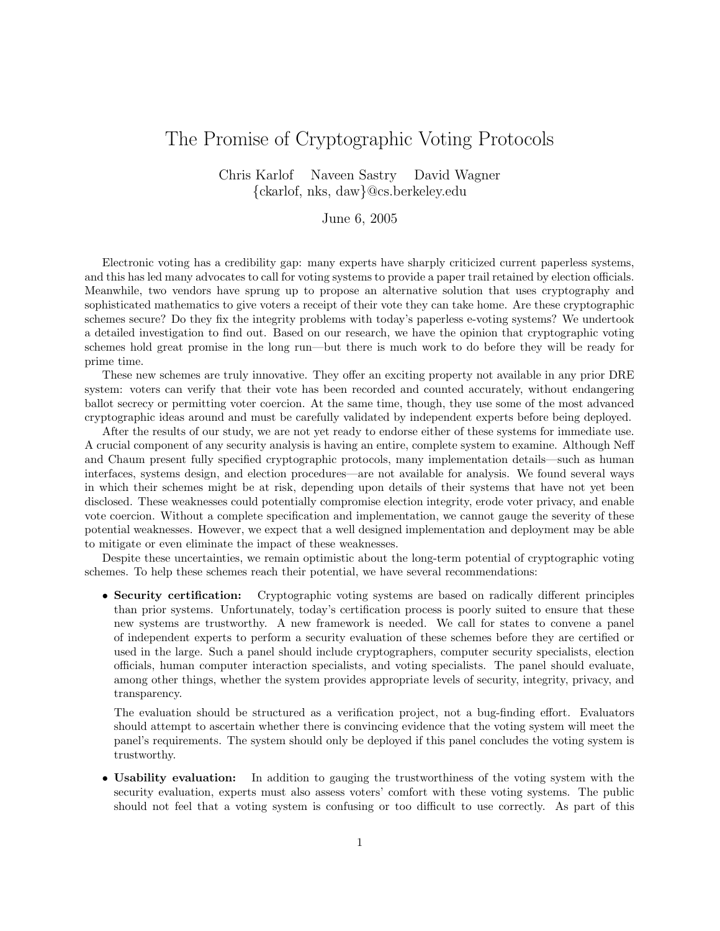## The Promise of Cryptographic Voting Protocols

Chris Karlof Naveen Sastry David Wagner {ckarlof, nks, daw}@cs.berkeley.edu

## June 6, 2005

Electronic voting has a credibility gap: many experts have sharply criticized current paperless systems, and this has led many advocates to call for voting systems to provide a paper trail retained by election officials. Meanwhile, two vendors have sprung up to propose an alternative solution that uses cryptography and sophisticated mathematics to give voters a receipt of their vote they can take home. Are these cryptographic schemes secure? Do they fix the integrity problems with today's paperless e-voting systems? We undertook a detailed investigation to find out. Based on our research, we have the opinion that cryptographic voting schemes hold great promise in the long run—but there is much work to do before they will be ready for prime time.

These new schemes are truly innovative. They offer an exciting property not available in any prior DRE system: voters can verify that their vote has been recorded and counted accurately, without endangering ballot secrecy or permitting voter coercion. At the same time, though, they use some of the most advanced cryptographic ideas around and must be carefully validated by independent experts before being deployed.

After the results of our study, we are not yet ready to endorse either of these systems for immediate use. A crucial component of any security analysis is having an entire, complete system to examine. Although Neff and Chaum present fully specified cryptographic protocols, many implementation details—such as human interfaces, systems design, and election procedures—are not available for analysis. We found several ways in which their schemes might be at risk, depending upon details of their systems that have not yet been disclosed. These weaknesses could potentially compromise election integrity, erode voter privacy, and enable vote coercion. Without a complete specification and implementation, we cannot gauge the severity of these potential weaknesses. However, we expect that a well designed implementation and deployment may be able to mitigate or even eliminate the impact of these weaknesses.

Despite these uncertainties, we remain optimistic about the long-term potential of cryptographic voting schemes. To help these schemes reach their potential, we have several recommendations:

• Security certification: Cryptographic voting systems are based on radically different principles than prior systems. Unfortunately, today's certification process is poorly suited to ensure that these new systems are trustworthy. A new framework is needed. We call for states to convene a panel of independent experts to perform a security evaluation of these schemes before they are certified or used in the large. Such a panel should include cryptographers, computer security specialists, election officials, human computer interaction specialists, and voting specialists. The panel should evaluate, among other things, whether the system provides appropriate levels of security, integrity, privacy, and transparency.

The evaluation should be structured as a verification project, not a bug-finding effort. Evaluators should attempt to ascertain whether there is convincing evidence that the voting system will meet the panel's requirements. The system should only be deployed if this panel concludes the voting system is trustworthy.

• Usability evaluation: In addition to gauging the trustworthiness of the voting system with the security evaluation, experts must also assess voters' comfort with these voting systems. The public should not feel that a voting system is confusing or too difficult to use correctly. As part of this